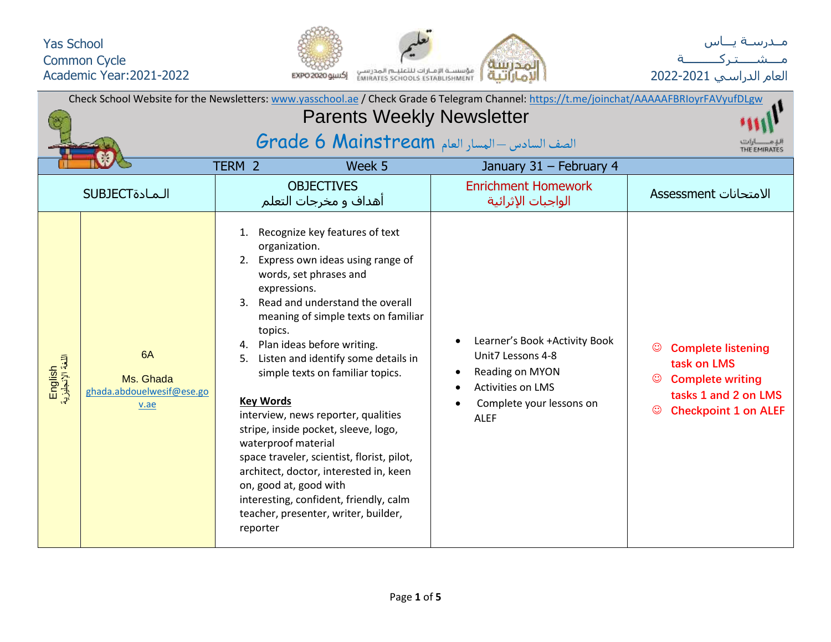



| Check School Website for the Newsletters: www.yasschool.ae / Check Grade 6 Telegram Channel: https://t.me/joinchat/AAAAAFBRIoyrFAVyufDLgw<br><b>Parents Weekly Newsletter</b> |                                                      |                                                                                                                                                                  |                                                                                                                                                                                                                                                                                                                                                                                                                                                                                                               |                                                                                                                                            |                                                                                                                            |  |  |  |  |  |  |
|-------------------------------------------------------------------------------------------------------------------------------------------------------------------------------|------------------------------------------------------|------------------------------------------------------------------------------------------------------------------------------------------------------------------|---------------------------------------------------------------------------------------------------------------------------------------------------------------------------------------------------------------------------------------------------------------------------------------------------------------------------------------------------------------------------------------------------------------------------------------------------------------------------------------------------------------|--------------------------------------------------------------------------------------------------------------------------------------------|----------------------------------------------------------------------------------------------------------------------------|--|--|--|--|--|--|
|                                                                                                                                                                               |                                                      |                                                                                                                                                                  |                                                                                                                                                                                                                                                                                                                                                                                                                                                                                                               |                                                                                                                                            |                                                                                                                            |  |  |  |  |  |  |
|                                                                                                                                                                               |                                                      | الصف السادس - المسار العام Grade 6 Mainstream                                                                                                                    |                                                                                                                                                                                                                                                                                                                                                                                                                                                                                                               |                                                                                                                                            |                                                                                                                            |  |  |  |  |  |  |
|                                                                                                                                                                               |                                                      | TERM <sub>2</sub>                                                                                                                                                | Week 5                                                                                                                                                                                                                                                                                                                                                                                                                                                                                                        | January 31 - February 4                                                                                                                    |                                                                                                                            |  |  |  |  |  |  |
|                                                                                                                                                                               | <b>SUBJECT</b>                                       |                                                                                                                                                                  | <b>OBJECTIVES</b><br>أهداف و مخرجات التعلم                                                                                                                                                                                                                                                                                                                                                                                                                                                                    | <b>Enrichment Homework</b><br>الواجبات الإثرائية                                                                                           | <b>Assessment</b> الامتحانات                                                                                               |  |  |  |  |  |  |
| English<br>اللغة الإنجليزية                                                                                                                                                   | 6A<br>Ms. Ghada<br>ghada.abdouelwesif@ese.go<br>v.ae | 1.<br>organization.<br>expressions.<br>topics.<br>4. Plan ideas before writing.<br><b>Key Words</b><br>waterproof material<br>on, good at, good with<br>reporter | Recognize key features of text<br>2. Express own ideas using range of<br>words, set phrases and<br>Read and understand the overall<br>meaning of simple texts on familiar<br>Listen and identify some details in<br>simple texts on familiar topics.<br>interview, news reporter, qualities<br>stripe, inside pocket, sleeve, logo,<br>space traveler, scientist, florist, pilot,<br>architect, doctor, interested in, keen<br>interesting, confident, friendly, calm<br>teacher, presenter, writer, builder, | Learner's Book +Activity Book<br>Unit7 Lessons 4-8<br>Reading on MYON<br>٠<br>Activities on LMS<br>Complete your lessons on<br><b>ALEF</b> | <b>Complete listening</b><br>task on LMS<br><b>Complete writing</b><br>tasks 1 and 2 on LMS<br><b>Checkpoint 1 on ALEF</b> |  |  |  |  |  |  |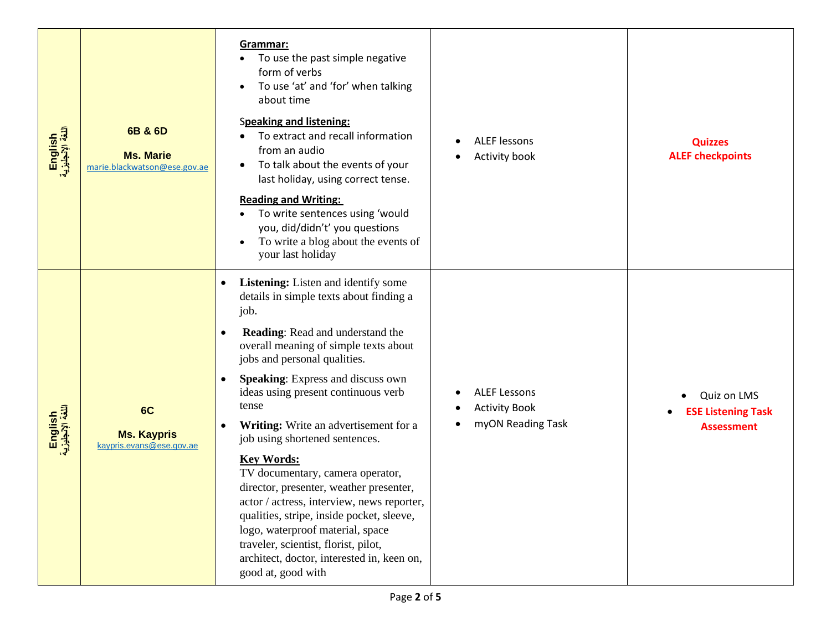| English<br>اللغة الإنجليزية | 6B & 6D<br><b>Ms. Marie</b><br>marie.blackwatson@ese.gov.ae | Grammar:<br>To use the past simple negative<br>form of verbs<br>To use 'at' and 'for' when talking<br>about time<br><b>Speaking and listening:</b><br>To extract and recall information<br>from an audio<br>To talk about the events of your<br>last holiday, using correct tense.<br><b>Reading and Writing:</b><br>To write sentences using 'would<br>you, did/didn't' you questions<br>To write a blog about the events of<br>your last holiday                                                                                                                                                                                                                                                                                        | <b>ALEF lessons</b><br>Activity book<br>٠                        | <b>Quizzes</b><br><b>ALEF checkpoints</b>                     |
|-----------------------------|-------------------------------------------------------------|-------------------------------------------------------------------------------------------------------------------------------------------------------------------------------------------------------------------------------------------------------------------------------------------------------------------------------------------------------------------------------------------------------------------------------------------------------------------------------------------------------------------------------------------------------------------------------------------------------------------------------------------------------------------------------------------------------------------------------------------|------------------------------------------------------------------|---------------------------------------------------------------|
| English<br>اللغة الإنجليزية | 6C<br><b>Ms. Kaypris</b><br>kaypris.evans@ese.gov.ae        | Listening: Listen and identify some<br>٠<br>details in simple texts about finding a<br>job.<br>Reading: Read and understand the<br>$\bullet$<br>overall meaning of simple texts about<br>jobs and personal qualities.<br>Speaking: Express and discuss own<br>٠<br>ideas using present continuous verb<br>tense<br>Writing: Write an advertisement for a<br>job using shortened sentences.<br><b>Key Words:</b><br>TV documentary, camera operator,<br>director, presenter, weather presenter,<br>actor / actress, interview, news reporter,<br>qualities, stripe, inside pocket, sleeve,<br>logo, waterproof material, space<br>traveler, scientist, florist, pilot,<br>architect, doctor, interested in, keen on,<br>good at, good with | <b>ALEF Lessons</b><br><b>Activity Book</b><br>myON Reading Task | Quiz on LMS<br><b>ESE Listening Task</b><br><b>Assessment</b> |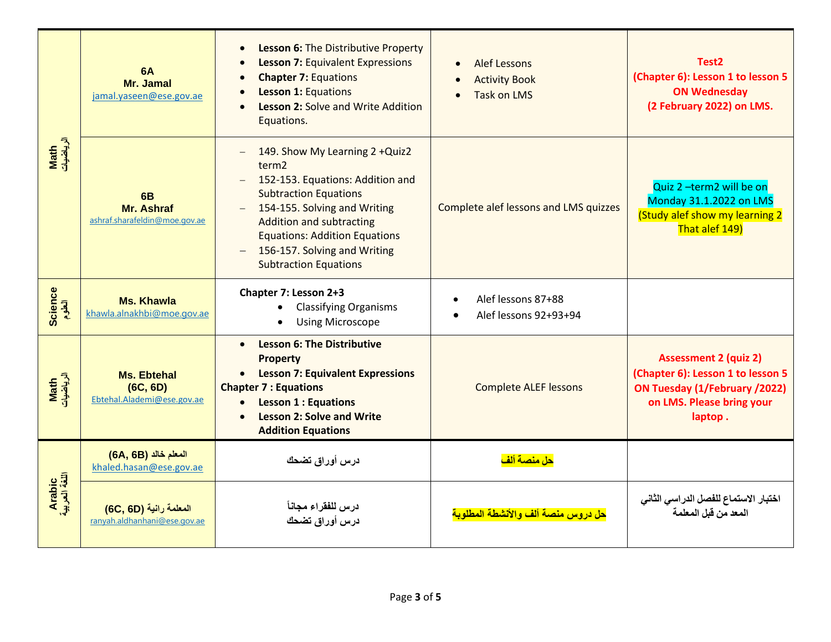|                         | <b>6A</b><br>Mr. Jamal<br>jamal.yaseen@ese.gov.ae             | Lesson 6: The Distributive Property<br><b>Lesson 7: Equivalent Expressions</b><br><b>Chapter 7: Equations</b><br><b>Lesson 1: Equations</b><br>Lesson 2: Solve and Write Addition<br>Equations.                                                                                                    | <b>Alef Lessons</b><br>$\bullet$<br><b>Activity Book</b><br><b>Task on LMS</b><br>$\bullet$ | Test <sub>2</sub><br>(Chapter 6): Lesson 1 to lesson 5<br><b>ON Wednesday</b><br>(2 February 2022) on LMS.                                 |
|-------------------------|---------------------------------------------------------------|----------------------------------------------------------------------------------------------------------------------------------------------------------------------------------------------------------------------------------------------------------------------------------------------------|---------------------------------------------------------------------------------------------|--------------------------------------------------------------------------------------------------------------------------------------------|
| Math<br>الرياضيات       | 6 <sub>B</sub><br>Mr. Ashraf<br>ashraf.sharafeldin@moe.gov.ae | 149. Show My Learning 2 +Quiz2<br>term <sub>2</sub><br>152-153. Equations: Addition and<br><b>Subtraction Equations</b><br>154-155. Solving and Writing<br><b>Addition and subtracting</b><br><b>Equations: Addition Equations</b><br>156-157. Solving and Writing<br><b>Subtraction Equations</b> | Complete alef lessons and LMS quizzes                                                       | Quiz 2 -term2 will be on<br>Monday 31.1.2022 on LMS<br>(Study alef show my learning 2<br>That alef 149)                                    |
| <b>Science</b><br>آلطوم | <b>Ms. Khawla</b><br>khawla.alnakhbi@moe.gov.ae               | Chapter 7: Lesson 2+3<br><b>Classifying Organisms</b><br><b>Using Microscope</b>                                                                                                                                                                                                                   | Alef lessons 87+88<br>Alef lessons 92+93+94                                                 |                                                                                                                                            |
| Math<br>الرياضيات       | <b>Ms. Ebtehal</b><br>(6C, 6D)<br>Ebtehal.Alademi@ese.gov.ae  | <b>Lesson 6: The Distributive</b><br>$\bullet$<br><b>Property</b><br><b>Lesson 7: Equivalent Expressions</b><br><b>Chapter 7: Equations</b><br><b>Lesson 1: Equations</b><br>$\bullet$<br><b>Lesson 2: Solve and Write</b><br><b>Addition Equations</b>                                            | <b>Complete ALEF lessons</b>                                                                | <b>Assessment 2 (quiz 2)</b><br>(Chapter 6): Lesson 1 to lesson 5<br>ON Tuesday (1/February /2022)<br>on LMS. Please bring your<br>laptop. |
|                         | المعلم خالد (6B, 66)<br>khaled.hasan@ese.gov.ae               | درس أوراق تضحك                                                                                                                                                                                                                                                                                     | <mark>حل منصة ألف</mark>                                                                    |                                                                                                                                            |
| Arabic<br>اللغة العربية | المعلمة رانية (6D, 60)<br>ranyah.aldhanhani@ese.gov.ae        | درس للفقراء مجانأ<br>درس أوراق تضحك                                                                                                                                                                                                                                                                | <mark>حل در وس منصة ألف و الأنشطة المطلوبة</mark>                                           | اختبار الاستماع للفصل الدراسي الثاني<br>المعد من قبل المعلمة                                                                               |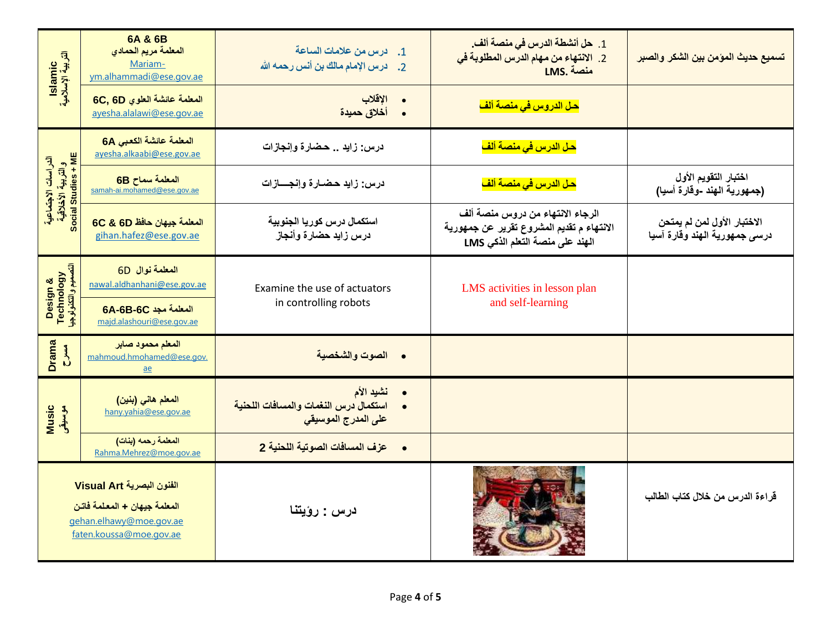| lslamic<br>الٹربیة الإسلامیة                                     | 6A & 6B<br>المعلمة مريم الحمادي<br>Mariam-<br>ym.alhammadi@ese.gov.ae                                           | 1. درس من علامات الساعة<br>درس الإمام مالك بن أنس رحمه الله<br>$\cdot$ .2         | 1. حل أنشطة الدرس في منصة ألف.<br>2. الانتهاء من مهام الدرس المطلوبة في<br>LMS. منصة                             | تسميع حديث المؤمن بين الشكر والصبر                           |  |  |  |  |
|------------------------------------------------------------------|-----------------------------------------------------------------------------------------------------------------|-----------------------------------------------------------------------------------|------------------------------------------------------------------------------------------------------------------|--------------------------------------------------------------|--|--|--|--|
|                                                                  | المعلمة عائشة العلوي 6C, 6D<br>ayesha.alalawi@ese.gov.ae                                                        | الإقلاب<br>أخلاق حميدة                                                            | <mark>حل الدروس في منصة ألف</mark>                                                                               |                                                              |  |  |  |  |
|                                                                  | المعلمة عائشة الكعبي 6A<br>ayesha.alkaabi@ese.gov.ae                                                            | درس: زايد  حضارة وإنجازات                                                         | <mark>حل الدرس في منصة ألف</mark>                                                                                |                                                              |  |  |  |  |
| الدراسات الاجتماعية<br>والتربية الأخلاقية<br>Social Studies + ME | المعلمة سماح 6B<br>samah-ai.mohamed@ese.gov.ae                                                                  | درس: زايد حضارة وإنجسازات                                                         | <mark>حل الدرس في منصة ألف</mark>                                                                                | اختبار التقويم الأول<br>(جمهورية الهند -وقارة أسيا)          |  |  |  |  |
|                                                                  | المعلمة جيهان حافظ 6C & 6D<br>gihan.hafez@ese.gov.ae                                                            | استكمال درس كوريا الجنوبية<br>درس زايد حضارة وأنجاز                               | الرجاء الانتهاء من دروس منصة ألف<br>الانتهاء م تقديم المشروع تقرير عن جمهورية<br>الهند على منصة التعلم الذكي LMS | الاختبار الأول لمن لم يمتحن<br>درسي جمهورية الهند وقارة آسيا |  |  |  |  |
| Design &<br>Technology<br>ا <del>لتصديم والتكذولوجيا</del>       | المعلمة نوال 6D<br>nawal.aldhanhani@ese.gov.ae                                                                  | Examine the use of actuators<br>in controlling robots                             | LMS activities in lesson plan<br>and self-learning                                                               |                                                              |  |  |  |  |
|                                                                  | <b>6A-6B-6C</b> المعلمة مجد<br>majd.alashouri@ese.gov.ae                                                        |                                                                                   |                                                                                                                  |                                                              |  |  |  |  |
| Drama<br>$\sum_{i=1}^{n}$                                        | المعلم محمود صابر<br>mahmoud.hmohamed@ese.gov.<br>ae                                                            | الصوت والشخصية<br>$\bullet$                                                       |                                                                                                                  |                                                              |  |  |  |  |
| <b>Music</b><br>موسيقى                                           | المعلم هاني (بنين)<br>hany.yahia@ese.gov.ae                                                                     | نشيد الأم<br>استكمال درس النغمات والمسافات اللحنية<br>على المدرج الموسيق <i>ي</i> |                                                                                                                  |                                                              |  |  |  |  |
|                                                                  | المعلمة رحمه (بنات)<br>Rahma.Mehrez@moe.gov.ae                                                                  | عزف المسافات الصوتية اللحنية 2<br>$\bullet$                                       |                                                                                                                  |                                                              |  |  |  |  |
|                                                                  | الفنون البصرية Visual Art<br>المعلمة جيهان + المعلمة فاتن<br>gehan.elhawy@moe.gov.ae<br>faten.koussa@moe.gov.ae | درس : رؤيتنا                                                                      |                                                                                                                  | قراءة الدرس من خلال كتاب الطالب                              |  |  |  |  |